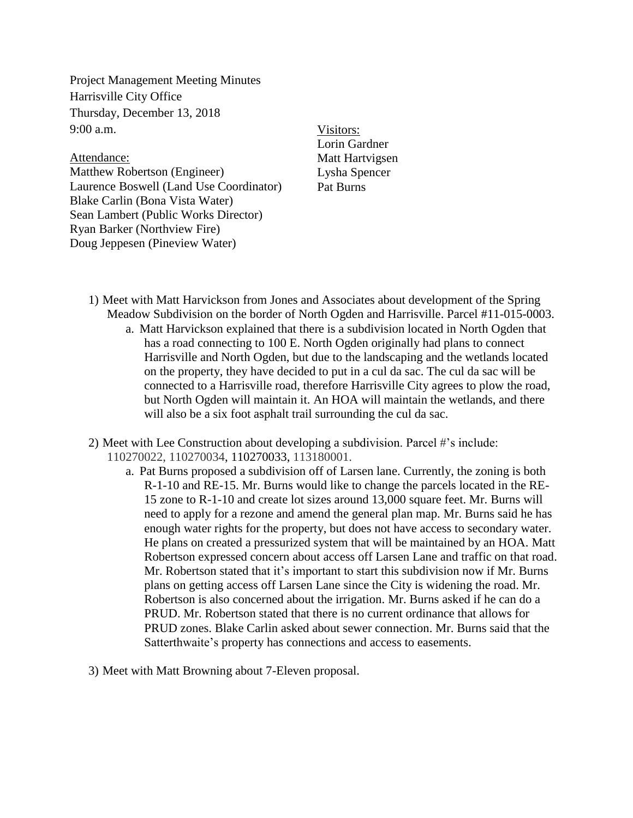Project Management Meeting Minutes Harrisville City Office Thursday, December 13, 2018  $9:00$  a.m.

Attendance: Matthew Robertson (Engineer) Laurence Boswell (Land Use Coordinator) Blake Carlin (Bona Vista Water) Sean Lambert (Public Works Director) Ryan Barker (Northview Fire) Doug Jeppesen (Pineview Water)

Visitors: Lorin Gardner Matt Hartvigsen Lysha Spencer Pat Burns

- 1) Meet with Matt Harvickson from Jones and Associates about development of the Spring Meadow Subdivision on the border of North Ogden and Harrisville. Parcel #11-015-0003.
	- a. Matt Harvickson explained that there is a subdivision located in North Ogden that has a road connecting to 100 E. North Ogden originally had plans to connect Harrisville and North Ogden, but due to the landscaping and the wetlands located on the property, they have decided to put in a cul da sac. The cul da sac will be connected to a Harrisville road, therefore Harrisville City agrees to plow the road, but North Ogden will maintain it. An HOA will maintain the wetlands, and there will also be a six foot asphalt trail surrounding the cul da sac.
- 2) Meet with Lee Construction about developing a subdivision. Parcel #'s include: 110270022, 110270034, 110270033, 113180001.
	- a. Pat Burns proposed a subdivision off of Larsen lane. Currently, the zoning is both R-1-10 and RE-15. Mr. Burns would like to change the parcels located in the RE-15 zone to R-1-10 and create lot sizes around 13,000 square feet. Mr. Burns will need to apply for a rezone and amend the general plan map. Mr. Burns said he has enough water rights for the property, but does not have access to secondary water. He plans on created a pressurized system that will be maintained by an HOA. Matt Robertson expressed concern about access off Larsen Lane and traffic on that road. Mr. Robertson stated that it's important to start this subdivision now if Mr. Burns plans on getting access off Larsen Lane since the City is widening the road. Mr. Robertson is also concerned about the irrigation. Mr. Burns asked if he can do a PRUD. Mr. Robertson stated that there is no current ordinance that allows for PRUD zones. Blake Carlin asked about sewer connection. Mr. Burns said that the Satterthwaite's property has connections and access to easements.
- 3) Meet with Matt Browning about 7-Eleven proposal.